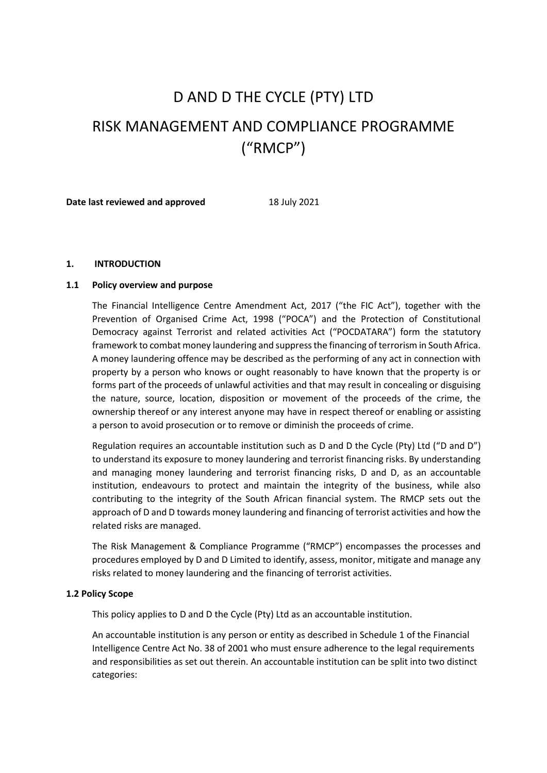# D AND D THE CYCLE (PTY) LTD RISK MANAGEMENT AND COMPLIANCE PROGRAMME ("RMCP")

**Date last reviewed and approved** 18 July 2021

## **1. INTRODUCTION**

## **1.1 Policy overview and purpose**

The Financial Intelligence Centre Amendment Act, 2017 ("the FIC Act"), together with the Prevention of Organised Crime Act, 1998 ("POCA") and the Protection of Constitutional Democracy against Terrorist and related activities Act ("POCDATARA") form the statutory framework to combat money laundering and suppress the financing of terrorism in South Africa. A money laundering offence may be described as the performing of any act in connection with property by a person who knows or ought reasonably to have known that the property is or forms part of the proceeds of unlawful activities and that may result in concealing or disguising the nature, source, location, disposition or movement of the proceeds of the crime, the ownership thereof or any interest anyone may have in respect thereof or enabling or assisting a person to avoid prosecution or to remove or diminish the proceeds of crime.

Regulation requires an accountable institution such as D and D the Cycle (Pty) Ltd ("D and D") to understand its exposure to money laundering and terrorist financing risks. By understanding and managing money laundering and terrorist financing risks, D and D, as an accountable institution, endeavours to protect and maintain the integrity of the business, while also contributing to the integrity of the South African financial system. The RMCP sets out the approach of D and D towards money laundering and financing of terrorist activities and how the related risks are managed.

The Risk Management & Compliance Programme ("RMCP") encompasses the processes and procedures employed by D and D Limited to identify, assess, monitor, mitigate and manage any risks related to money laundering and the financing of terrorist activities.

## **1.2 Policy Scope**

This policy applies to D and D the Cycle (Pty) Ltd as an accountable institution.

An accountable institution is any person or entity as described in Schedule 1 of the Financial Intelligence Centre Act No. 38 of 2001 who must ensure adherence to the legal requirements and responsibilities as set out therein. An accountable institution can be split into two distinct categories: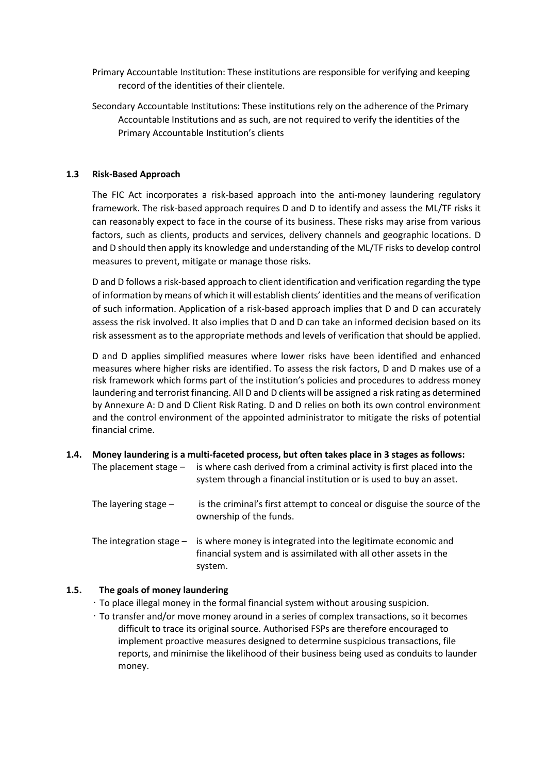- Primary Accountable Institution: These institutions are responsible for verifying and keeping record of the identities of their clientele.
- Secondary Accountable Institutions: These institutions rely on the adherence of the Primary Accountable Institutions and as such, are not required to verify the identities of the Primary Accountable Institution's clients

## **1.3 Risk-Based Approach**

The FIC Act incorporates a risk-based approach into the anti-money laundering regulatory framework. The risk-based approach requires D and D to identify and assess the ML/TF risks it can reasonably expect to face in the course of its business. These risks may arise from various factors, such as clients, products and services, delivery channels and geographic locations. D and D should then apply its knowledge and understanding of the ML/TF risks to develop control measures to prevent, mitigate or manage those risks.

D and D follows a risk-based approach to client identification and verification regarding the type of information by means of which it will establish clients' identities and the means of verification of such information. Application of a risk-based approach implies that D and D can accurately assess the risk involved. It also implies that D and D can take an informed decision based on its risk assessment as to the appropriate methods and levels of verification that should be applied.

D and D applies simplified measures where lower risks have been identified and enhanced measures where higher risks are identified. To assess the risk factors, D and D makes use of a risk framework which forms part of the institution's policies and procedures to address money laundering and terrorist financing. All D and D clients will be assigned a risk rating as determined by Annexure A: D and D Client Risk Rating. D and D relies on both its own control environment and the control environment of the appointed administrator to mitigate the risks of potential financial crime.

**1.4. Money laundering is a multi-faceted process, but often takes place in 3 stages as follows:** The placement stage – is where cash derived from a criminal activity is first placed into the system through a financial institution or is used to buy an asset. The layering stage – is the criminal's first attempt to conceal or disguise the source of the ownership of the funds. The integration stage – is where money is integrated into the legitimate economic and financial system and is assimilated with all other assets in the system.

## **1.5. The goals of money laundering**

- To place illegal money in the formal financial system without arousing suspicion.
- To transfer and/or move money around in a series of complex transactions, so it becomes difficult to trace its original source. Authorised FSPs are therefore encouraged to implement proactive measures designed to determine suspicious transactions, file reports, and minimise the likelihood of their business being used as conduits to launder money.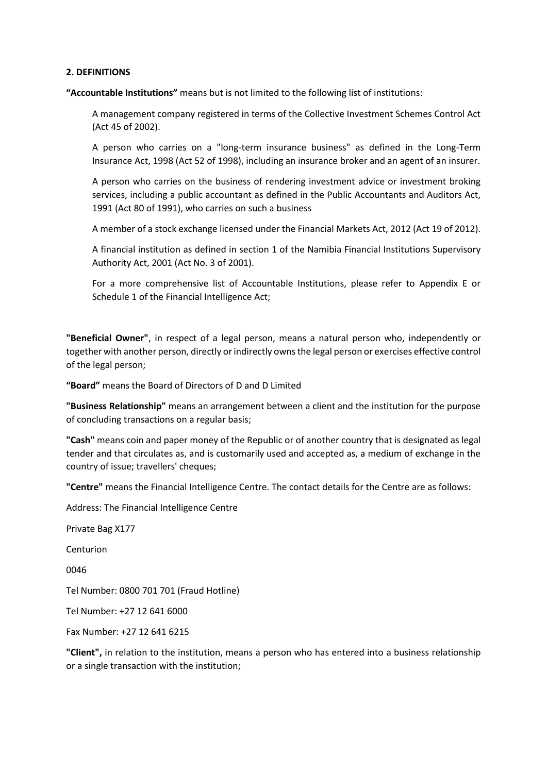## **2. DEFINITIONS**

**"Accountable Institutions"** means but is not limited to the following list of institutions:

A management company registered in terms of the Collective Investment Schemes Control Act (Act 45 of 2002).

A person who carries on a "long-term insurance business" as defined in the Long-Term Insurance Act, 1998 (Act 52 of 1998), including an insurance broker and an agent of an insurer.

A person who carries on the business of rendering investment advice or investment broking services, including a public accountant as defined in the Public Accountants and Auditors Act, 1991 (Act 80 of 1991), who carries on such a business

A member of a stock exchange licensed under the Financial Markets Act, 2012 (Act 19 of 2012).

A financial institution as defined in section 1 of the Namibia Financial Institutions Supervisory Authority Act, 2001 (Act No. 3 of 2001).

For a more comprehensive list of Accountable Institutions, please refer to Appendix E or Schedule 1 of the Financial Intelligence Act;

**"Beneficial Owner"**, in respect of a legal person, means a natural person who, independently or together with another person, directly or indirectly owns the legal person or exercises effective control of the legal person;

**"Board"** means the Board of Directors of D and D Limited

**"Business Relationship"** means an arrangement between a client and the institution for the purpose of concluding transactions on a regular basis;

**"Cash"** means coin and paper money of the Republic or of another country that is designated as legal tender and that circulates as, and is customarily used and accepted as, a medium of exchange in the country of issue; travellers' cheques;

**"Centre"** means the Financial Intelligence Centre. The contact details for the Centre are as follows:

Address: The Financial Intelligence Centre

Private Bag X177

Centurion

0046

Tel Number: 0800 701 701 (Fraud Hotline)

Tel Number: +27 12 641 6000

Fax Number: +27 12 641 6215

**"Client",** in relation to the institution, means a person who has entered into a business relationship or a single transaction with the institution;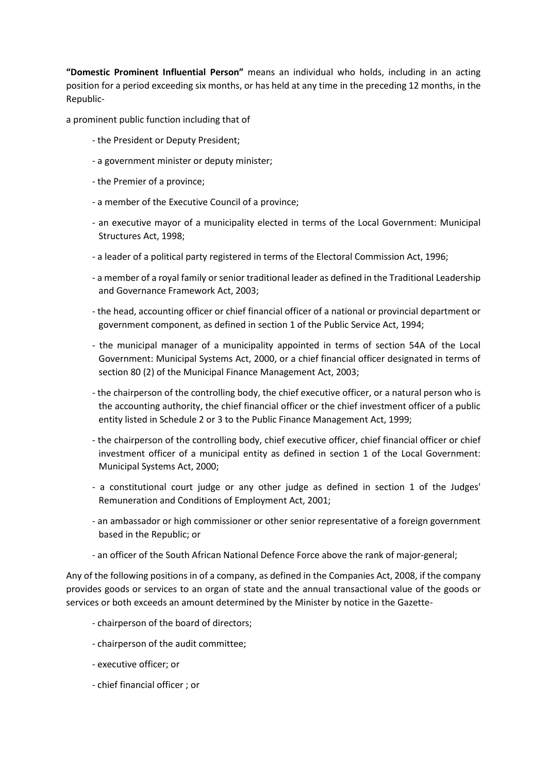**"Domestic Prominent Influential Person"** means an individual who holds, including in an acting position for a period exceeding six months, or has held at any time in the preceding 12 months, in the Republic-

a prominent public function including that of

- the President or Deputy President;
- a government minister or deputy minister;
- the Premier of a province;
- a member of the Executive Council of a province;
- an executive mayor of a municipality elected in terms of the Local Government: Municipal Structures Act, 1998;
- a leader of a political party registered in terms of the Electoral Commission Act, 1996;
- a member of a royal family or senior traditional leader as defined in the Traditional Leadership and Governance Framework Act, 2003;
- the head, accounting officer or chief financial officer of a national or provincial department or government component, as defined in section 1 of the Public Service Act, 1994;
- the municipal manager of a municipality appointed in terms of section 54A of the Local Government: Municipal Systems Act, 2000, or a chief financial officer designated in terms of section 80 (2) of the Municipal Finance Management Act, 2003;
- the chairperson of the controlling body, the chief executive officer, or a natural person who is the accounting authority, the chief financial officer or the chief investment officer of a public entity listed in Schedule 2 or 3 to the Public Finance Management Act, 1999;
- the chairperson of the controlling body, chief executive officer, chief financial officer or chief investment officer of a municipal entity as defined in section 1 of the Local Government: Municipal Systems Act, 2000;
- a constitutional court judge or any other judge as defined in section 1 of the Judges' Remuneration and Conditions of Employment Act, 2001;
- an ambassador or high commissioner or other senior representative of a foreign government based in the Republic; or
- an officer of the South African National Defence Force above the rank of major-general;

Any of the following positions in of a company, as defined in the Companies Act, 2008, if the company provides goods or services to an organ of state and the annual transactional value of the goods or services or both exceeds an amount determined by the Minister by notice in the Gazette-

- chairperson of the board of directors;
- chairperson of the audit committee;
- executive officer; or
- chief financial officer ; or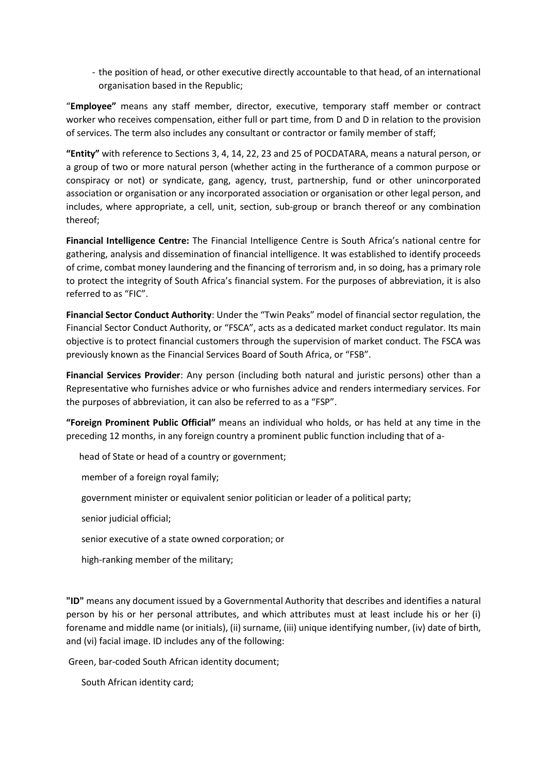- the position of head, or other executive directly accountable to that head, of an international organisation based in the Republic;

"**Employee"** means any staff member, director, executive, temporary staff member or contract worker who receives compensation, either full or part time, from D and D in relation to the provision of services. The term also includes any consultant or contractor or family member of staff;

**"Entity"** with reference to Sections 3, 4, 14, 22, 23 and 25 of POCDATARA, means a natural person, or a group of two or more natural person (whether acting in the furtherance of a common purpose or conspiracy or not) or syndicate, gang, agency, trust, partnership, fund or other unincorporated association or organisation or any incorporated association or organisation or other legal person, and includes, where appropriate, a cell, unit, section, sub-group or branch thereof or any combination thereof;

**Financial Intelligence Centre:** The Financial Intelligence Centre is South Africa's national centre for gathering, analysis and dissemination of financial intelligence. It was established to identify proceeds of crime, combat money laundering and the financing of terrorism and, in so doing, has a primary role to protect the integrity of South Africa's financial system. For the purposes of abbreviation, it is also referred to as "FIC".

**Financial Sector Conduct Authority**: Under the "Twin Peaks" model of financial sector regulation, the Financial Sector Conduct Authority, or "FSCA", acts as a dedicated market conduct regulator. Its main objective is to protect financial customers through the supervision of market conduct. The FSCA was previously known as the Financial Services Board of South Africa, or "FSB".

**Financial Services Provider**: Any person (including both natural and juristic persons) other than a Representative who furnishes advice or who furnishes advice and renders intermediary services. For the purposes of abbreviation, it can also be referred to as a "FSP".

**"Foreign Prominent Public Official"** means an individual who holds, or has held at any time in the preceding 12 months, in any foreign country a prominent public function including that of a-

head of State or head of a country or government;

member of a foreign royal family;

government minister or equivalent senior politician or leader of a political party;

senior judicial official;

senior executive of a state owned corporation; or

high-ranking member of the military;

**"ID"** means any document issued by a Governmental Authority that describes and identifies a natural person by his or her personal attributes, and which attributes must at least include his or her (i) forename and middle name (or initials), (ii) surname, (iii) unique identifying number, (iv) date of birth, and (vi) facial image. ID includes any of the following:

Green, bar-coded South African identity document;

South African identity card;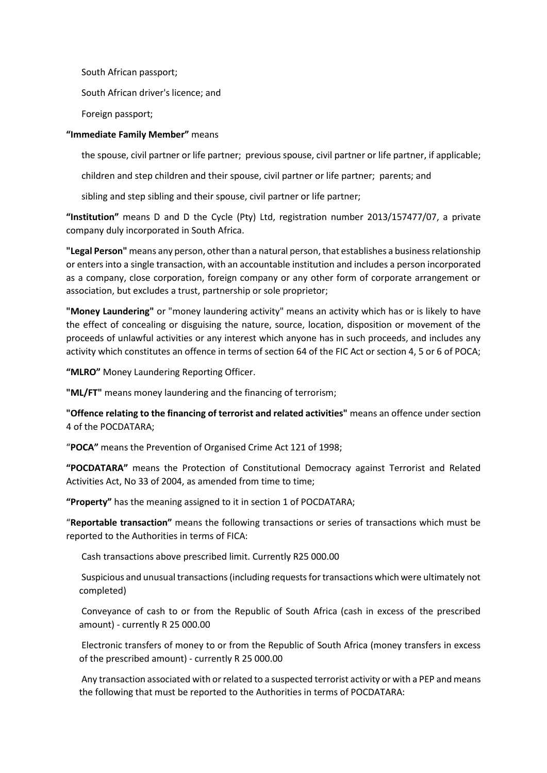South African passport;

South African driver's licence; and

Foreign passport;

## **"Immediate Family Member"** means

the spouse, civil partner or life partner; previous spouse, civil partner or life partner, if applicable;

children and step children and their spouse, civil partner or life partner; parents; and

sibling and step sibling and their spouse, civil partner or life partner;

**"Institution"** means D and D the Cycle (Pty) Ltd, registration number 2013/157477/07, a private company duly incorporated in South Africa.

**"Legal Person"** means any person, other than a natural person, that establishes a business relationship or enters into a single transaction, with an accountable institution and includes a person incorporated as a company, close corporation, foreign company or any other form of corporate arrangement or association, but excludes a trust, partnership or sole proprietor;

**"Money Laundering"** or "money laundering activity" means an activity which has or is likely to have the effect of concealing or disguising the nature, source, location, disposition or movement of the proceeds of unlawful activities or any interest which anyone has in such proceeds, and includes any activity which constitutes an offence in terms of section 64 of the FIC Act or section 4, 5 or 6 of POCA;

**"MLRO"** Money Laundering Reporting Officer.

**"ML/FT"** means money laundering and the financing of terrorism;

**"Offence relating to the financing of terrorist and related activities"** means an offence under section 4 of the POCDATARA;

"**POCA"** means the Prevention of Organised Crime Act 121 of 1998;

**"POCDATARA"** means the Protection of Constitutional Democracy against Terrorist and Related Activities Act, No 33 of 2004, as amended from time to time;

**"Property"** has the meaning assigned to it in section 1 of POCDATARA;

"**Reportable transaction"** means the following transactions or series of transactions which must be reported to the Authorities in terms of FICA:

Cash transactions above prescribed limit. Currently R25 000.00

Suspicious and unusual transactions (including requests for transactions which were ultimately not completed)

Conveyance of cash to or from the Republic of South Africa (cash in excess of the prescribed amount) - currently R 25 000.00

Electronic transfers of money to or from the Republic of South Africa (money transfers in excess of the prescribed amount) - currently R 25 000.00

Any transaction associated with or related to a suspected terrorist activity or with a PEP and means the following that must be reported to the Authorities in terms of POCDATARA: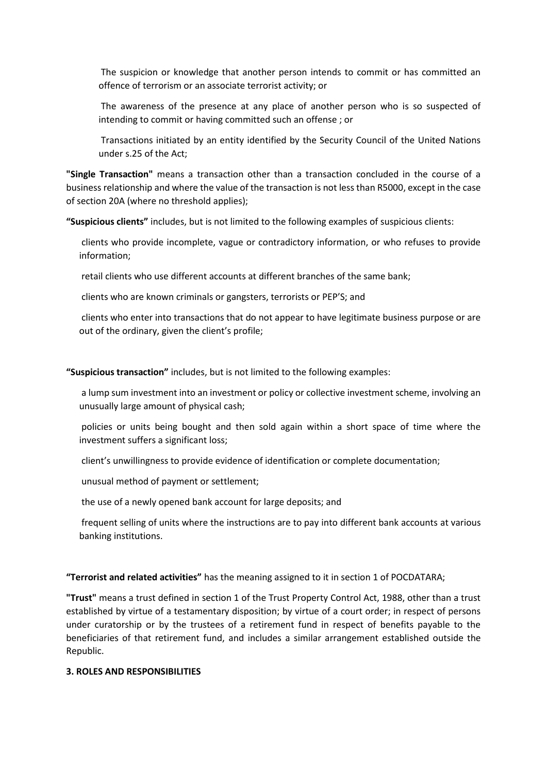The suspicion or knowledge that another person intends to commit or has committed an offence of terrorism or an associate terrorist activity; or

The awareness of the presence at any place of another person who is so suspected of intending to commit or having committed such an offense ; or

Transactions initiated by an entity identified by the Security Council of the United Nations under s.25 of the Act;

**"Single Transaction"** means a transaction other than a transaction concluded in the course of a business relationship and where the value of the transaction is not less than R5000, except in the case of section 20A (where no threshold applies);

**"Suspicious clients"** includes, but is not limited to the following examples of suspicious clients:

clients who provide incomplete, vague or contradictory information, or who refuses to provide information;

retail clients who use different accounts at different branches of the same bank;

clients who are known criminals or gangsters, terrorists or PEP'S; and

clients who enter into transactions that do not appear to have legitimate business purpose or are out of the ordinary, given the client's profile;

**"Suspicious transaction"** includes, but is not limited to the following examples:

a lump sum investment into an investment or policy or collective investment scheme, involving an unusually large amount of physical cash;

policies or units being bought and then sold again within a short space of time where the investment suffers a significant loss;

client's unwillingness to provide evidence of identification or complete documentation;

unusual method of payment or settlement;

the use of a newly opened bank account for large deposits; and

frequent selling of units where the instructions are to pay into different bank accounts at various banking institutions.

#### **"Terrorist and related activities"** has the meaning assigned to it in section 1 of POCDATARA;

**"Trust"** means a trust defined in section 1 of the Trust Property Control Act, 1988, other than a trust established by virtue of a testamentary disposition; by virtue of a court order; in respect of persons under curatorship or by the trustees of a retirement fund in respect of benefits payable to the beneficiaries of that retirement fund, and includes a similar arrangement established outside the Republic.

## **3. ROLES AND RESPONSIBILITIES**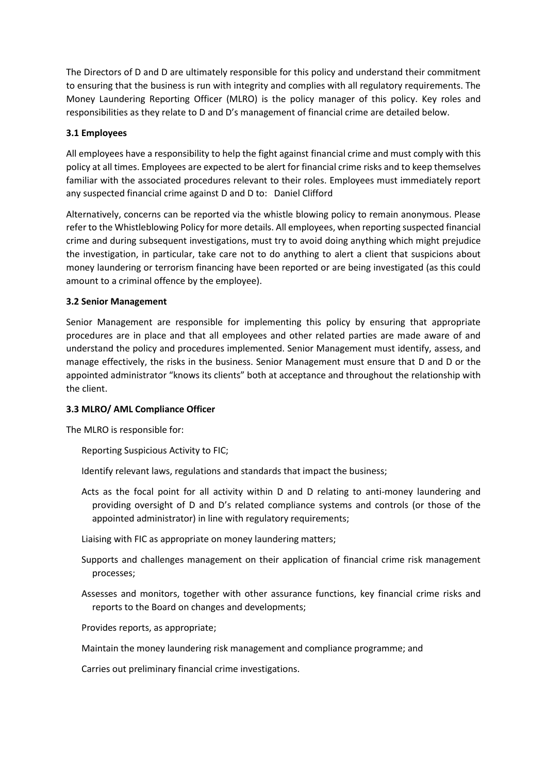The Directors of D and D are ultimately responsible for this policy and understand their commitment to ensuring that the business is run with integrity and complies with all regulatory requirements. The Money Laundering Reporting Officer (MLRO) is the policy manager of this policy. Key roles and responsibilities as they relate to D and D's management of financial crime are detailed below.

## **3.1 Employees**

All employees have a responsibility to help the fight against financial crime and must comply with this policy at all times. Employees are expected to be alert for financial crime risks and to keep themselves familiar with the associated procedures relevant to their roles. Employees must immediately report any suspected financial crime against D and D to: Daniel Clifford

Alternatively, concerns can be reported via the whistle blowing policy to remain anonymous. Please refer to the Whistleblowing Policy for more details. All employees, when reporting suspected financial crime and during subsequent investigations, must try to avoid doing anything which might prejudice the investigation, in particular, take care not to do anything to alert a client that suspicions about money laundering or terrorism financing have been reported or are being investigated (as this could amount to a criminal offence by the employee).

## **3.2 Senior Management**

Senior Management are responsible for implementing this policy by ensuring that appropriate procedures are in place and that all employees and other related parties are made aware of and understand the policy and procedures implemented. Senior Management must identify, assess, and manage effectively, the risks in the business. Senior Management must ensure that D and D or the appointed administrator "knows its clients" both at acceptance and throughout the relationship with the client.

# **3.3 MLRO/ AML Compliance Officer**

The MLRO is responsible for:

Reporting Suspicious Activity to FIC;

Identify relevant laws, regulations and standards that impact the business;

Acts as the focal point for all activity within D and D relating to anti-money laundering and providing oversight of D and D's related compliance systems and controls (or those of the appointed administrator) in line with regulatory requirements;

Liaising with FIC as appropriate on money laundering matters;

- Supports and challenges management on their application of financial crime risk management processes;
- Assesses and monitors, together with other assurance functions, key financial crime risks and reports to the Board on changes and developments;

Provides reports, as appropriate;

Maintain the money laundering risk management and compliance programme; and

Carries out preliminary financial crime investigations.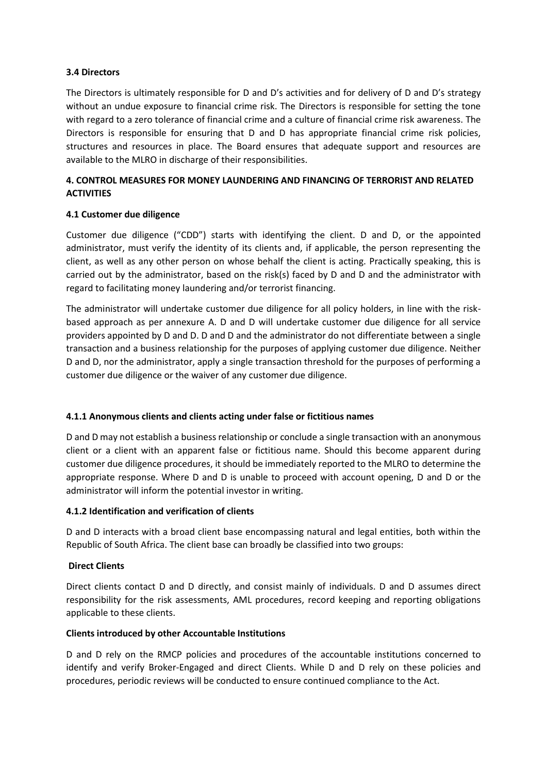## **3.4 Directors**

The Directors is ultimately responsible for D and D's activities and for delivery of D and D's strategy without an undue exposure to financial crime risk. The Directors is responsible for setting the tone with regard to a zero tolerance of financial crime and a culture of financial crime risk awareness. The Directors is responsible for ensuring that D and D has appropriate financial crime risk policies, structures and resources in place. The Board ensures that adequate support and resources are available to the MLRO in discharge of their responsibilities.

# **4. CONTROL MEASURES FOR MONEY LAUNDERING AND FINANCING OF TERRORIST AND RELATED ACTIVITIES**

## **4.1 Customer due diligence**

Customer due diligence ("CDD") starts with identifying the client. D and D, or the appointed administrator, must verify the identity of its clients and, if applicable, the person representing the client, as well as any other person on whose behalf the client is acting. Practically speaking, this is carried out by the administrator, based on the risk(s) faced by D and D and the administrator with regard to facilitating money laundering and/or terrorist financing.

The administrator will undertake customer due diligence for all policy holders, in line with the riskbased approach as per annexure A. D and D will undertake customer due diligence for all service providers appointed by D and D. D and D and the administrator do not differentiate between a single transaction and a business relationship for the purposes of applying customer due diligence. Neither D and D, nor the administrator, apply a single transaction threshold for the purposes of performing a customer due diligence or the waiver of any customer due diligence.

## **4.1.1 Anonymous clients and clients acting under false or fictitious names**

D and D may not establish a business relationship or conclude a single transaction with an anonymous client or a client with an apparent false or fictitious name. Should this become apparent during customer due diligence procedures, it should be immediately reported to the MLRO to determine the appropriate response. Where D and D is unable to proceed with account opening, D and D or the administrator will inform the potential investor in writing.

## **4.1.2 Identification and verification of clients**

D and D interacts with a broad client base encompassing natural and legal entities, both within the Republic of South Africa. The client base can broadly be classified into two groups:

## **Direct Clients**

Direct clients contact D and D directly, and consist mainly of individuals. D and D assumes direct responsibility for the risk assessments, AML procedures, record keeping and reporting obligations applicable to these clients.

## **Clients introduced by other Accountable Institutions**

D and D rely on the RMCP policies and procedures of the accountable institutions concerned to identify and verify Broker-Engaged and direct Clients. While D and D rely on these policies and procedures, periodic reviews will be conducted to ensure continued compliance to the Act.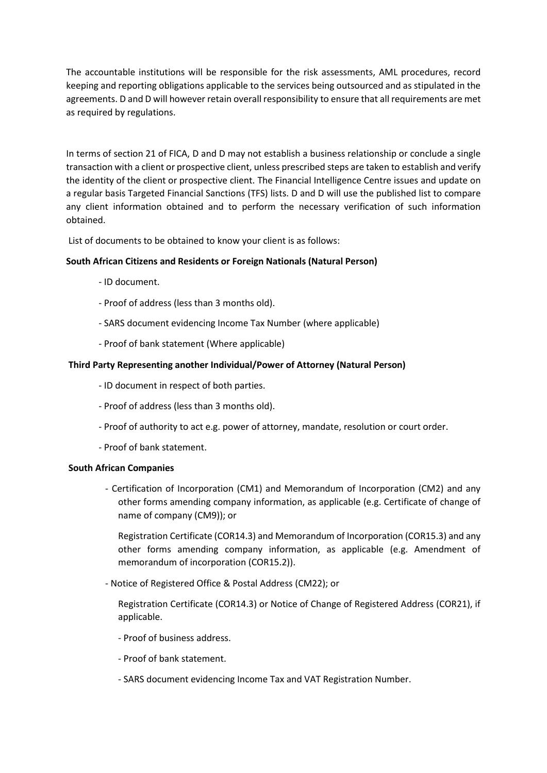The accountable institutions will be responsible for the risk assessments, AML procedures, record keeping and reporting obligations applicable to the services being outsourced and as stipulated in the agreements. D and D will however retain overall responsibility to ensure that all requirements are met as required by regulations.

In terms of section 21 of FICA, D and D may not establish a business relationship or conclude a single transaction with a client or prospective client, unless prescribed steps are taken to establish and verify the identity of the client or prospective client. The Financial Intelligence Centre issues and update on a regular basis Targeted Financial Sanctions (TFS) lists. D and D will use the published list to compare any client information obtained and to perform the necessary verification of such information obtained.

List of documents to be obtained to know your client is as follows:

## **South African Citizens and Residents or Foreign Nationals (Natural Person)**

- ID document.
- Proof of address (less than 3 months old).
- SARS document evidencing Income Tax Number (where applicable)
- Proof of bank statement (Where applicable)

## **Third Party Representing another Individual/Power of Attorney (Natural Person)**

- ID document in respect of both parties.
- Proof of address (less than 3 months old).
- Proof of authority to act e.g. power of attorney, mandate, resolution or court order.
- Proof of bank statement.

## **South African Companies**

- Certification of Incorporation (CM1) and Memorandum of Incorporation (CM2) and any other forms amending company information, as applicable (e.g. Certificate of change of name of company (CM9)); or

Registration Certificate (COR14.3) and Memorandum of Incorporation (COR15.3) and any other forms amending company information, as applicable (e.g. Amendment of memorandum of incorporation (COR15.2)).

- Notice of Registered Office & Postal Address (CM22); or

Registration Certificate (COR14.3) or Notice of Change of Registered Address (COR21), if applicable.

- Proof of business address.
- Proof of bank statement.
- SARS document evidencing Income Tax and VAT Registration Number.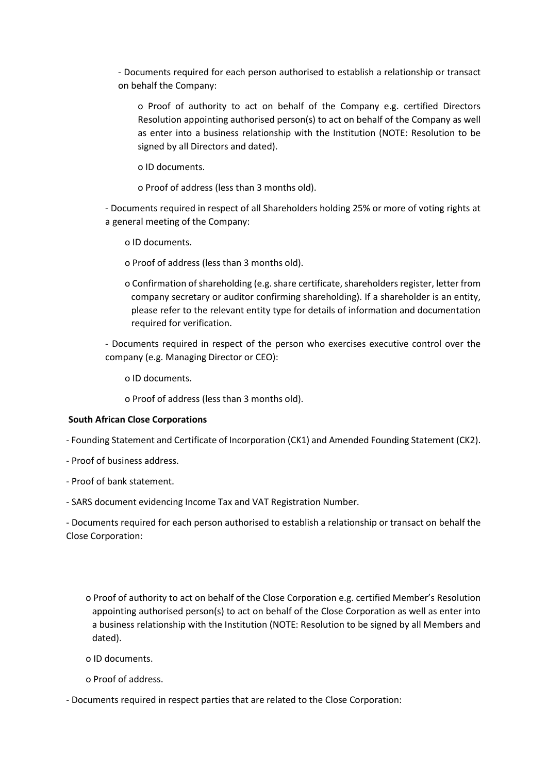- Documents required for each person authorised to establish a relationship or transact on behalf the Company:

o Proof of authority to act on behalf of the Company e.g. certified Directors Resolution appointing authorised person(s) to act on behalf of the Company as well as enter into a business relationship with the Institution (NOTE: Resolution to be signed by all Directors and dated).

o ID documents.

o Proof of address (less than 3 months old).

- Documents required in respect of all Shareholders holding 25% or more of voting rights at a general meeting of the Company:

o ID documents.

o Proof of address (less than 3 months old).

o Confirmation of shareholding (e.g. share certificate, shareholders register, letter from company secretary or auditor confirming shareholding). If a shareholder is an entity, please refer to the relevant entity type for details of information and documentation required for verification.

- Documents required in respect of the person who exercises executive control over the company (e.g. Managing Director or CEO):

o ID documents.

o Proof of address (less than 3 months old).

#### **South African Close Corporations**

- Founding Statement and Certificate of Incorporation (CK1) and Amended Founding Statement (CK2).

- Proof of business address.
- Proof of bank statement.
- SARS document evidencing Income Tax and VAT Registration Number.

- Documents required for each person authorised to establish a relationship or transact on behalf the Close Corporation:

o Proof of authority to act on behalf of the Close Corporation e.g. certified Member's Resolution appointing authorised person(s) to act on behalf of the Close Corporation as well as enter into a business relationship with the Institution (NOTE: Resolution to be signed by all Members and dated).

- o ID documents.
- o Proof of address.

- Documents required in respect parties that are related to the Close Corporation: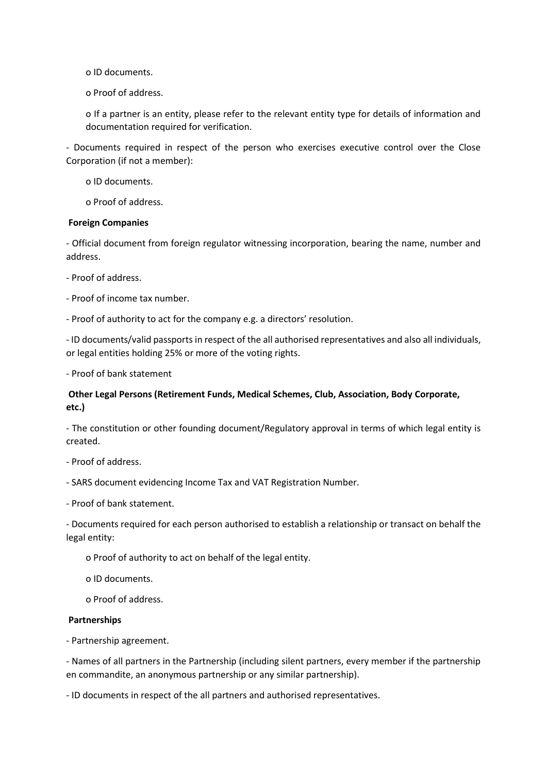o ID documents.

o Proof of address.

o If a partner is an entity, please refer to the relevant entity type for details of information and documentation required for verification.

- Documents required in respect of the person who exercises executive control over the Close Corporation (if not a member):

o ID documents.

o Proof of address.

## **Foreign Companies**

- Official document from foreign regulator witnessing incorporation, bearing the name, number and address.

- Proof of address.

- Proof of income tax number.

- Proof of authority to act for the company e.g. a directors' resolution.

- ID documents/valid passports in respect of the all authorised representatives and also all individuals, or legal entities holding 25% or more of the voting rights.

- Proof of bank statement

# **Other Legal Persons (Retirement Funds, Medical Schemes, Club, Association, Body Corporate, etc.)**

- The constitution or other founding document/Regulatory approval in terms of which legal entity is created.

- Proof of address.

- SARS document evidencing Income Tax and VAT Registration Number.

- Proof of bank statement.

- Documents required for each person authorised to establish a relationship or transact on behalf the legal entity:

o Proof of authority to act on behalf of the legal entity.

o ID documents.

o Proof of address.

## **Partnerships**

- Partnership agreement.

- Names of all partners in the Partnership (including silent partners, every member if the partnership en commandite, an anonymous partnership or any similar partnership).

- ID documents in respect of the all partners and authorised representatives.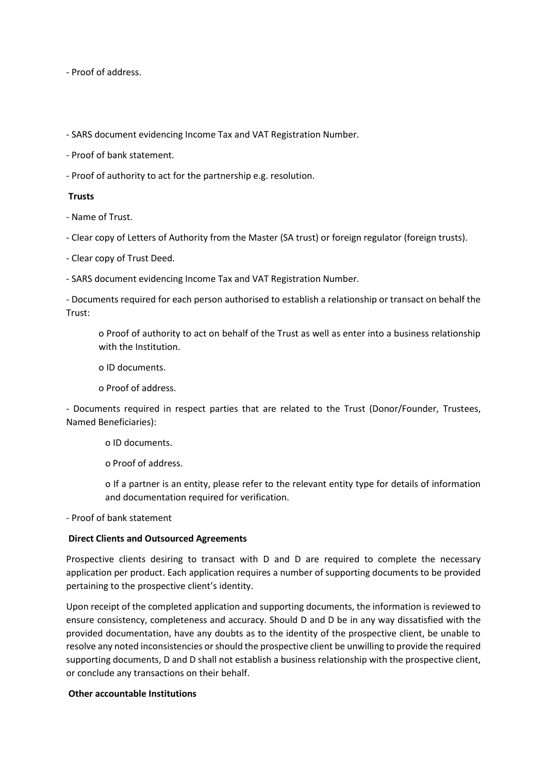- Proof of address.

- SARS document evidencing Income Tax and VAT Registration Number.

- Proof of bank statement.

- Proof of authority to act for the partnership e.g. resolution.

#### **Trusts**

- Name of Trust.

- Clear copy of Letters of Authority from the Master (SA trust) or foreign regulator (foreign trusts).

- Clear copy of Trust Deed.

- SARS document evidencing Income Tax and VAT Registration Number.

- Documents required for each person authorised to establish a relationship or transact on behalf the Trust:

o Proof of authority to act on behalf of the Trust as well as enter into a business relationship with the Institution.

o ID documents.

o Proof of address.

- Documents required in respect parties that are related to the Trust (Donor/Founder, Trustees, Named Beneficiaries):

o ID documents.

o Proof of address.

o If a partner is an entity, please refer to the relevant entity type for details of information and documentation required for verification.

- Proof of bank statement

## **Direct Clients and Outsourced Agreements**

Prospective clients desiring to transact with D and D are required to complete the necessary application per product. Each application requires a number of supporting documents to be provided pertaining to the prospective client's identity.

Upon receipt of the completed application and supporting documents, the information is reviewed to ensure consistency, completeness and accuracy. Should D and D be in any way dissatisfied with the provided documentation, have any doubts as to the identity of the prospective client, be unable to resolve any noted inconsistencies or should the prospective client be unwilling to provide the required supporting documents, D and D shall not establish a business relationship with the prospective client, or conclude any transactions on their behalf.

## **Other accountable Institutions**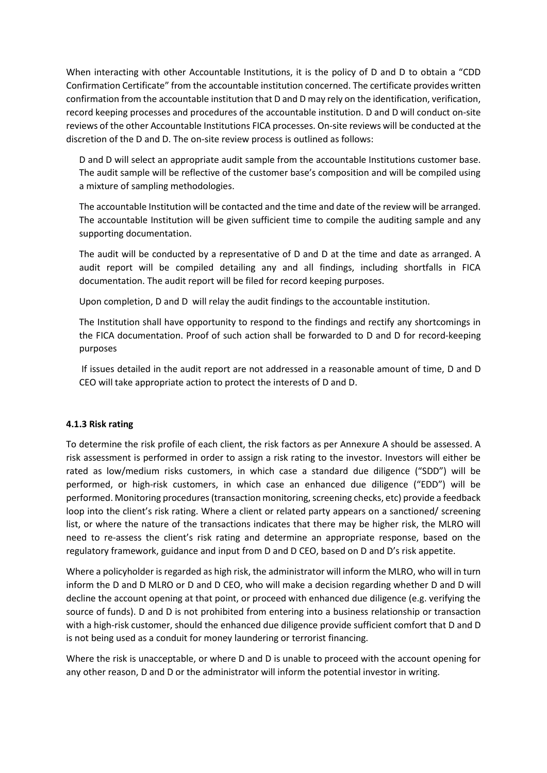When interacting with other Accountable Institutions, it is the policy of D and D to obtain a "CDD Confirmation Certificate" from the accountable institution concerned. The certificate provides written confirmation from the accountable institution that D and D may rely on the identification, verification, record keeping processes and procedures of the accountable institution. D and D will conduct on-site reviews of the other Accountable Institutions FICA processes. On-site reviews will be conducted at the discretion of the D and D. The on-site review process is outlined as follows:

D and D will select an appropriate audit sample from the accountable Institutions customer base. The audit sample will be reflective of the customer base's composition and will be compiled using a mixture of sampling methodologies.

The accountable Institution will be contacted and the time and date of the review will be arranged. The accountable Institution will be given sufficient time to compile the auditing sample and any supporting documentation.

The audit will be conducted by a representative of D and D at the time and date as arranged. A audit report will be compiled detailing any and all findings, including shortfalls in FICA documentation. The audit report will be filed for record keeping purposes.

Upon completion, D and D will relay the audit findings to the accountable institution.

The Institution shall have opportunity to respond to the findings and rectify any shortcomings in the FICA documentation. Proof of such action shall be forwarded to D and D for record-keeping purposes

If issues detailed in the audit report are not addressed in a reasonable amount of time, D and D CEO will take appropriate action to protect the interests of D and D.

# **4.1.3 Risk rating**

To determine the risk profile of each client, the risk factors as per Annexure A should be assessed. A risk assessment is performed in order to assign a risk rating to the investor. Investors will either be rated as low/medium risks customers, in which case a standard due diligence ("SDD") will be performed, or high-risk customers, in which case an enhanced due diligence ("EDD") will be performed. Monitoring procedures (transaction monitoring, screening checks, etc) provide a feedback loop into the client's risk rating. Where a client or related party appears on a sanctioned/ screening list, or where the nature of the transactions indicates that there may be higher risk, the MLRO will need to re-assess the client's risk rating and determine an appropriate response, based on the regulatory framework, guidance and input from D and D CEO, based on D and D's risk appetite.

Where a policyholder is regarded as high risk, the administrator will inform the MLRO, who will in turn inform the D and D MLRO or D and D CEO, who will make a decision regarding whether D and D will decline the account opening at that point, or proceed with enhanced due diligence (e.g. verifying the source of funds). D and D is not prohibited from entering into a business relationship or transaction with a high-risk customer, should the enhanced due diligence provide sufficient comfort that D and D is not being used as a conduit for money laundering or terrorist financing.

Where the risk is unacceptable, or where D and D is unable to proceed with the account opening for any other reason, D and D or the administrator will inform the potential investor in writing.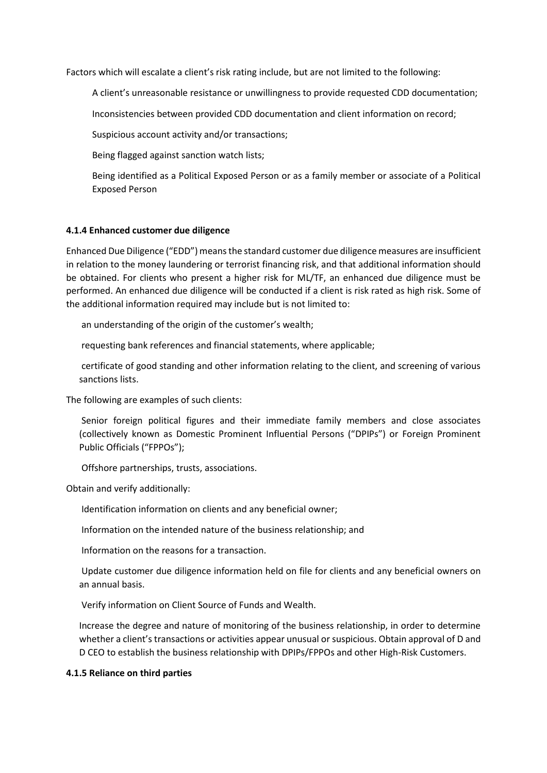Factors which will escalate a client's risk rating include, but are not limited to the following:

A client's unreasonable resistance or unwillingness to provide requested CDD documentation;

Inconsistencies between provided CDD documentation and client information on record;

Suspicious account activity and/or transactions;

Being flagged against sanction watch lists;

Being identified as a Political Exposed Person or as a family member or associate of a Political Exposed Person

#### **4.1.4 Enhanced customer due diligence**

Enhanced Due Diligence ("EDD") means the standard customer due diligence measures are insufficient in relation to the money laundering or terrorist financing risk, and that additional information should be obtained. For clients who present a higher risk for ML/TF, an enhanced due diligence must be performed. An enhanced due diligence will be conducted if a client is risk rated as high risk. Some of the additional information required may include but is not limited to:

an understanding of the origin of the customer's wealth;

requesting bank references and financial statements, where applicable;

certificate of good standing and other information relating to the client, and screening of various sanctions lists.

The following are examples of such clients:

Senior foreign political figures and their immediate family members and close associates (collectively known as Domestic Prominent Influential Persons ("DPIPs") or Foreign Prominent Public Officials ("FPPOs");

Offshore partnerships, trusts, associations.

Obtain and verify additionally:

Identification information on clients and any beneficial owner;

Information on the intended nature of the business relationship; and

Information on the reasons for a transaction.

Update customer due diligence information held on file for clients and any beneficial owners on an annual basis.

Verify information on Client Source of Funds and Wealth.

Increase the degree and nature of monitoring of the business relationship, in order to determine whether a client's transactions or activities appear unusual or suspicious. Obtain approval of D and D CEO to establish the business relationship with DPIPs/FPPOs and other High-Risk Customers.

#### **4.1.5 Reliance on third parties**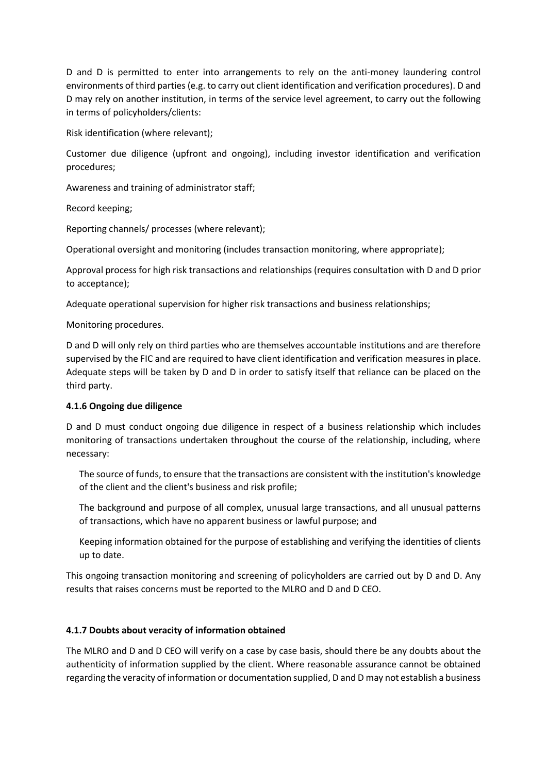D and D is permitted to enter into arrangements to rely on the anti-money laundering control environments of third parties (e.g. to carry out client identification and verification procedures). D and D may rely on another institution, in terms of the service level agreement, to carry out the following in terms of policyholders/clients:

Risk identification (where relevant);

Customer due diligence (upfront and ongoing), including investor identification and verification procedures;

Awareness and training of administrator staff;

Record keeping;

Reporting channels/ processes (where relevant);

Operational oversight and monitoring (includes transaction monitoring, where appropriate);

Approval process for high risk transactions and relationships (requires consultation with D and D prior to acceptance);

Adequate operational supervision for higher risk transactions and business relationships;

Monitoring procedures.

D and D will only rely on third parties who are themselves accountable institutions and are therefore supervised by the FIC and are required to have client identification and verification measures in place. Adequate steps will be taken by D and D in order to satisfy itself that reliance can be placed on the third party.

## **4.1.6 Ongoing due diligence**

D and D must conduct ongoing due diligence in respect of a business relationship which includes monitoring of transactions undertaken throughout the course of the relationship, including, where necessary:

The source of funds, to ensure that the transactions are consistent with the institution's knowledge of the client and the client's business and risk profile;

The background and purpose of all complex, unusual large transactions, and all unusual patterns of transactions, which have no apparent business or lawful purpose; and

Keeping information obtained for the purpose of establishing and verifying the identities of clients up to date.

This ongoing transaction monitoring and screening of policyholders are carried out by D and D. Any results that raises concerns must be reported to the MLRO and D and D CEO.

# **4.1.7 Doubts about veracity of information obtained**

The MLRO and D and D CEO will verify on a case by case basis, should there be any doubts about the authenticity of information supplied by the client. Where reasonable assurance cannot be obtained regarding the veracity of information or documentation supplied, D and D may not establish a business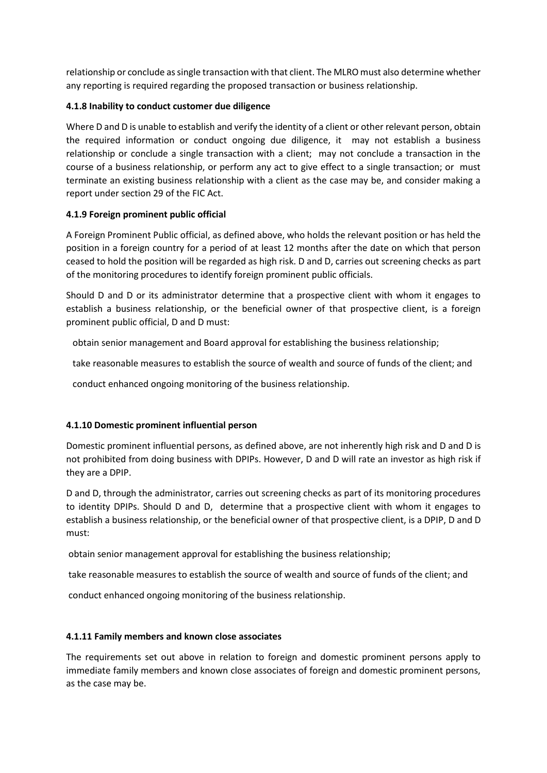relationship or conclude as single transaction with that client. The MLRO must also determine whether any reporting is required regarding the proposed transaction or business relationship.

## **4.1.8 Inability to conduct customer due diligence**

Where D and D is unable to establish and verify the identity of a client or other relevant person, obtain the required information or conduct ongoing due diligence, it may not establish a business relationship or conclude a single transaction with a client; may not conclude a transaction in the course of a business relationship, or perform any act to give effect to a single transaction; or must terminate an existing business relationship with a client as the case may be, and consider making a report under section 29 of the FIC Act.

## **4.1.9 Foreign prominent public official**

A Foreign Prominent Public official, as defined above, who holds the relevant position or has held the position in a foreign country for a period of at least 12 months after the date on which that person ceased to hold the position will be regarded as high risk. D and D, carries out screening checks as part of the monitoring procedures to identify foreign prominent public officials.

Should D and D or its administrator determine that a prospective client with whom it engages to establish a business relationship, or the beneficial owner of that prospective client, is a foreign prominent public official, D and D must:

obtain senior management and Board approval for establishing the business relationship;

take reasonable measures to establish the source of wealth and source of funds of the client; and

conduct enhanced ongoing monitoring of the business relationship.

## **4.1.10 Domestic prominent influential person**

Domestic prominent influential persons, as defined above, are not inherently high risk and D and D is not prohibited from doing business with DPIPs. However, D and D will rate an investor as high risk if they are a DPIP.

D and D, through the administrator, carries out screening checks as part of its monitoring procedures to identity DPIPs. Should D and D, determine that a prospective client with whom it engages to establish a business relationship, or the beneficial owner of that prospective client, is a DPIP, D and D must:

obtain senior management approval for establishing the business relationship;

take reasonable measures to establish the source of wealth and source of funds of the client; and

conduct enhanced ongoing monitoring of the business relationship.

## **4.1.11 Family members and known close associates**

The requirements set out above in relation to foreign and domestic prominent persons apply to immediate family members and known close associates of foreign and domestic prominent persons, as the case may be.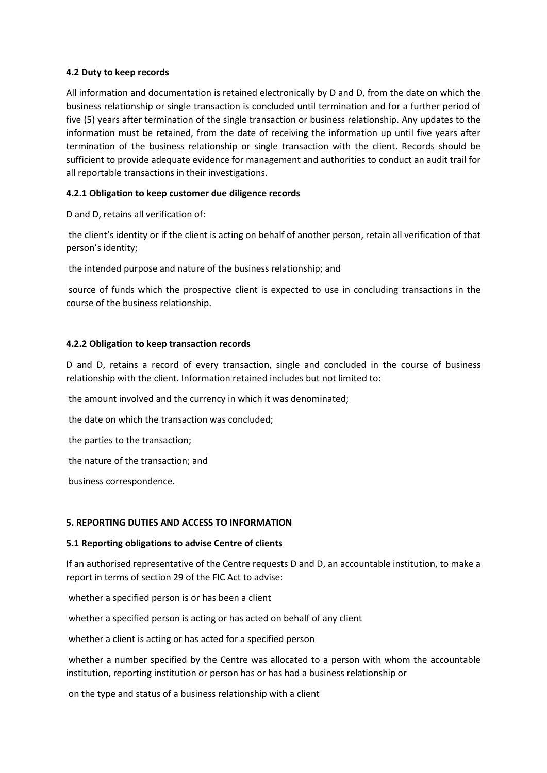## **4.2 Duty to keep records**

All information and documentation is retained electronically by D and D, from the date on which the business relationship or single transaction is concluded until termination and for a further period of five (5) years after termination of the single transaction or business relationship. Any updates to the information must be retained, from the date of receiving the information up until five years after termination of the business relationship or single transaction with the client. Records should be sufficient to provide adequate evidence for management and authorities to conduct an audit trail for all reportable transactions in their investigations.

## **4.2.1 Obligation to keep customer due diligence records**

D and D, retains all verification of:

the client's identity or if the client is acting on behalf of another person, retain all verification of that person's identity;

the intended purpose and nature of the business relationship; and

source of funds which the prospective client is expected to use in concluding transactions in the course of the business relationship.

## **4.2.2 Obligation to keep transaction records**

D and D, retains a record of every transaction, single and concluded in the course of business relationship with the client. Information retained includes but not limited to:

the amount involved and the currency in which it was denominated;

the date on which the transaction was concluded;

the parties to the transaction;

the nature of the transaction; and

business correspondence.

## **5. REPORTING DUTIES AND ACCESS TO INFORMATION**

## **5.1 Reporting obligations to advise Centre of clients**

If an authorised representative of the Centre requests D and D, an accountable institution, to make a report in terms of section 29 of the FIC Act to advise:

whether a specified person is or has been a client

whether a specified person is acting or has acted on behalf of any client

whether a client is acting or has acted for a specified person

whether a number specified by the Centre was allocated to a person with whom the accountable institution, reporting institution or person has or has had a business relationship or

on the type and status of a business relationship with a client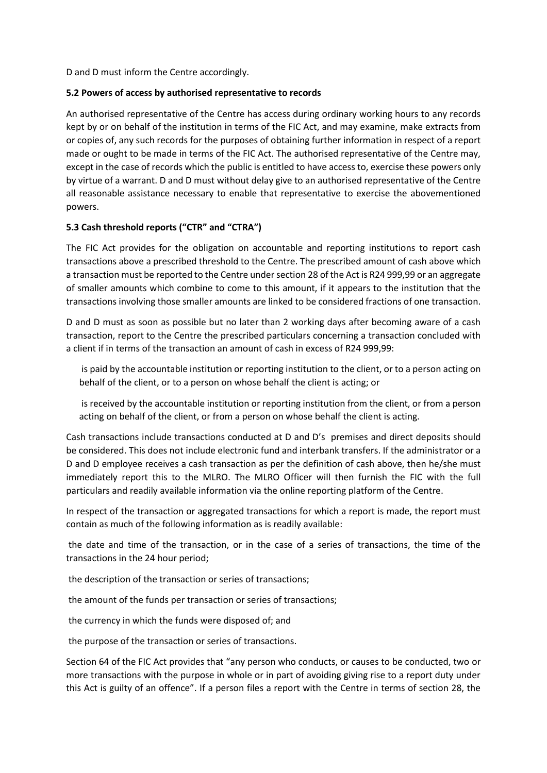D and D must inform the Centre accordingly.

## **5.2 Powers of access by authorised representative to records**

An authorised representative of the Centre has access during ordinary working hours to any records kept by or on behalf of the institution in terms of the FIC Act, and may examine, make extracts from or copies of, any such records for the purposes of obtaining further information in respect of a report made or ought to be made in terms of the FIC Act. The authorised representative of the Centre may, except in the case of records which the public is entitled to have access to, exercise these powers only by virtue of a warrant. D and D must without delay give to an authorised representative of the Centre all reasonable assistance necessary to enable that representative to exercise the abovementioned powers.

# **5.3 Cash threshold reports ("CTR" and "CTRA")**

The FIC Act provides for the obligation on accountable and reporting institutions to report cash transactions above a prescribed threshold to the Centre. The prescribed amount of cash above which a transaction must be reported to the Centre under section 28 of the Act is R24 999,99 or an aggregate of smaller amounts which combine to come to this amount, if it appears to the institution that the transactions involving those smaller amounts are linked to be considered fractions of one transaction.

D and D must as soon as possible but no later than 2 working days after becoming aware of a cash transaction, report to the Centre the prescribed particulars concerning a transaction concluded with a client if in terms of the transaction an amount of cash in excess of R24 999,99:

is paid by the accountable institution or reporting institution to the client, or to a person acting on behalf of the client, or to a person on whose behalf the client is acting; or

is received by the accountable institution or reporting institution from the client, or from a person acting on behalf of the client, or from a person on whose behalf the client is acting.

Cash transactions include transactions conducted at D and D's premises and direct deposits should be considered. This does not include electronic fund and interbank transfers. If the administrator or a D and D employee receives a cash transaction as per the definition of cash above, then he/she must immediately report this to the MLRO. The MLRO Officer will then furnish the FIC with the full particulars and readily available information via the online reporting platform of the Centre.

In respect of the transaction or aggregated transactions for which a report is made, the report must contain as much of the following information as is readily available:

the date and time of the transaction, or in the case of a series of transactions, the time of the transactions in the 24 hour period;

the description of the transaction or series of transactions;

the amount of the funds per transaction or series of transactions;

the currency in which the funds were disposed of; and

the purpose of the transaction or series of transactions.

Section 64 of the FIC Act provides that "any person who conducts, or causes to be conducted, two or more transactions with the purpose in whole or in part of avoiding giving rise to a report duty under this Act is guilty of an offence". If a person files a report with the Centre in terms of section 28, the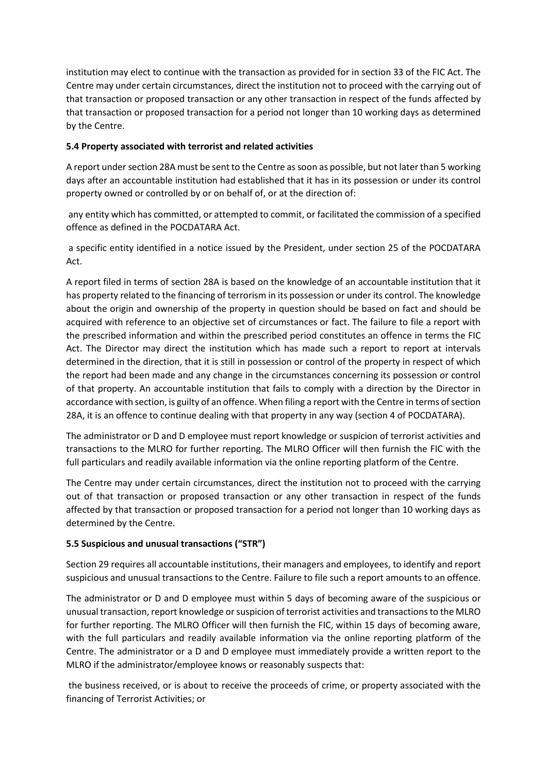institution may elect to continue with the transaction as provided for in section 33 of the FIC Act. The Centre may under certain circumstances, direct the institution not to proceed with the carrying out of that transaction or proposed transaction or any other transaction in respect of the funds affected by that transaction or proposed transaction for a period not longer than 10 working days as determined by the Centre.

# **5.4 Property associated with terrorist and related activities**

A report under section 28A must be sent to the Centre as soon as possible, but not later than 5 working days after an accountable institution had established that it has in its possession or under its control property owned or controlled by or on behalf of, or at the direction of:

any entity which has committed, or attempted to commit, or facilitated the commission of a specified offence as defined in the POCDATARA Act.

a specific entity identified in a notice issued by the President, under section 25 of the POCDATARA Act.

A report filed in terms of section 28A is based on the knowledge of an accountable institution that it has property related to the financing of terrorism in its possession or under its control. The knowledge about the origin and ownership of the property in question should be based on fact and should be acquired with reference to an objective set of circumstances or fact. The failure to file a report with the prescribed information and within the prescribed period constitutes an offence in terms the FIC Act. The Director may direct the institution which has made such a report to report at intervals determined in the direction, that it is still in possession or control of the property in respect of which the report had been made and any change in the circumstances concerning its possession or control of that property. An accountable institution that fails to comply with a direction by the Director in accordance with section, is guilty of an offence. When filing a report with the Centre in terms of section 28A, it is an offence to continue dealing with that property in any way (section 4 of POCDATARA).

The administrator or D and D employee must report knowledge or suspicion of terrorist activities and transactions to the MLRO for further reporting. The MLRO Officer will then furnish the FIC with the full particulars and readily available information via the online reporting platform of the Centre.

The Centre may under certain circumstances, direct the institution not to proceed with the carrying out of that transaction or proposed transaction or any other transaction in respect of the funds affected by that transaction or proposed transaction for a period not longer than 10 working days as determined by the Centre.

# **5.5 Suspicious and unusual transactions ("STR")**

Section 29 requires all accountable institutions, their managers and employees, to identify and report suspicious and unusual transactions to the Centre. Failure to file such a report amounts to an offence.

The administrator or D and D employee must within 5 days of becoming aware of the suspicious or unusual transaction, report knowledge or suspicion of terrorist activities and transactions to the MLRO for further reporting. The MLRO Officer will then furnish the FIC, within 15 days of becoming aware, with the full particulars and readily available information via the online reporting platform of the Centre. The administrator or a D and D employee must immediately provide a written report to the MLRO if the administrator/employee knows or reasonably suspects that:

the business received, or is about to receive the proceeds of crime, or property associated with the financing of Terrorist Activities; or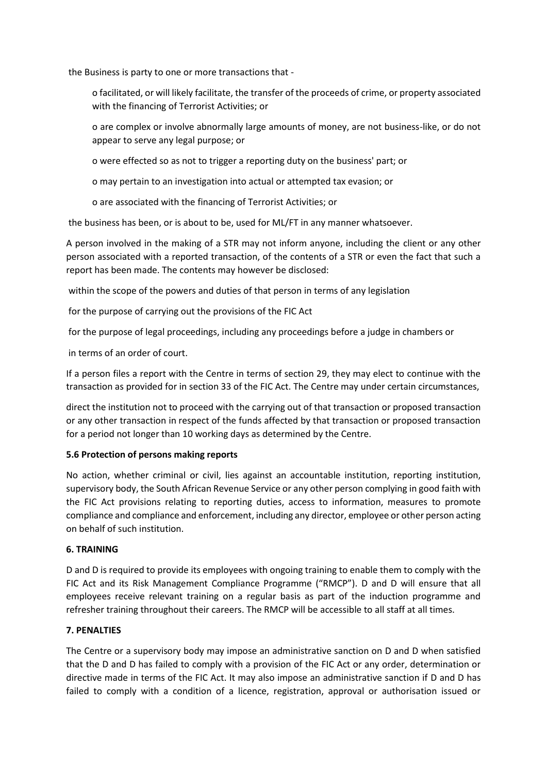the Business is party to one or more transactions that -

- o facilitated, or will likely facilitate, the transfer of the proceeds of crime, or property associated with the financing of Terrorist Activities; or
- o are complex or involve abnormally large amounts of money, are not business-like, or do not appear to serve any legal purpose; or
- o were effected so as not to trigger a reporting duty on the business' part; or
- o may pertain to an investigation into actual or attempted tax evasion; or
- o are associated with the financing of Terrorist Activities; or

the business has been, or is about to be, used for ML/FT in any manner whatsoever.

A person involved in the making of a STR may not inform anyone, including the client or any other person associated with a reported transaction, of the contents of a STR or even the fact that such a report has been made. The contents may however be disclosed:

within the scope of the powers and duties of that person in terms of any legislation

for the purpose of carrying out the provisions of the FIC Act

for the purpose of legal proceedings, including any proceedings before a judge in chambers or

in terms of an order of court.

If a person files a report with the Centre in terms of section 29, they may elect to continue with the transaction as provided for in section 33 of the FIC Act. The Centre may under certain circumstances,

direct the institution not to proceed with the carrying out of that transaction or proposed transaction or any other transaction in respect of the funds affected by that transaction or proposed transaction for a period not longer than 10 working days as determined by the Centre.

## **5.6 Protection of persons making reports**

No action, whether criminal or civil, lies against an accountable institution, reporting institution, supervisory body, the South African Revenue Service or any other person complying in good faith with the FIC Act provisions relating to reporting duties, access to information, measures to promote compliance and compliance and enforcement, including any director, employee or other person acting on behalf of such institution.

## **6. TRAINING**

D and D is required to provide its employees with ongoing training to enable them to comply with the FIC Act and its Risk Management Compliance Programme ("RMCP"). D and D will ensure that all employees receive relevant training on a regular basis as part of the induction programme and refresher training throughout their careers. The RMCP will be accessible to all staff at all times.

## **7. PENALTIES**

The Centre or a supervisory body may impose an administrative sanction on D and D when satisfied that the D and D has failed to comply with a provision of the FIC Act or any order, determination or directive made in terms of the FIC Act. It may also impose an administrative sanction if D and D has failed to comply with a condition of a licence, registration, approval or authorisation issued or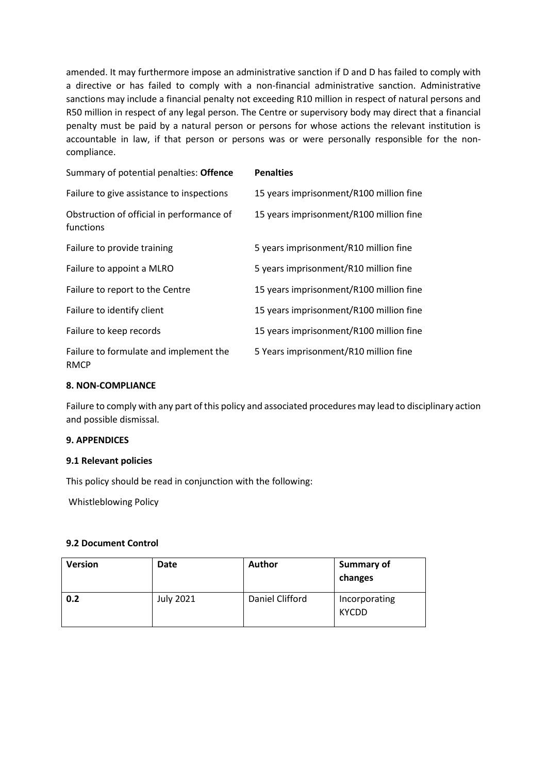amended. It may furthermore impose an administrative sanction if D and D has failed to comply with a directive or has failed to comply with a non-financial administrative sanction. Administrative sanctions may include a financial penalty not exceeding R10 million in respect of natural persons and R50 million in respect of any legal person. The Centre or supervisory body may direct that a financial penalty must be paid by a natural person or persons for whose actions the relevant institution is accountable in law, if that person or persons was or were personally responsible for the noncompliance.

| Summary of potential penalties: Offence                | <b>Penalties</b>                        |
|--------------------------------------------------------|-----------------------------------------|
| Failure to give assistance to inspections              | 15 years imprisonment/R100 million fine |
| Obstruction of official in performance of<br>functions | 15 years imprisonment/R100 million fine |
| Failure to provide training                            | 5 years imprisonment/R10 million fine   |
| Failure to appoint a MLRO                              | 5 years imprisonment/R10 million fine   |
| Failure to report to the Centre                        | 15 years imprisonment/R100 million fine |
| Failure to identify client                             | 15 years imprisonment/R100 million fine |
| Failure to keep records                                | 15 years imprisonment/R100 million fine |
| Failure to formulate and implement the<br><b>RMCP</b>  | 5 Years imprisonment/R10 million fine   |

#### **8. NON-COMPLIANCE**

Failure to comply with any part of this policy and associated procedures may lead to disciplinary action and possible dismissal.

## **9. APPENDICES**

#### **9.1 Relevant policies**

This policy should be read in conjunction with the following:

Whistleblowing Policy

#### **9.2 Document Control**

| <b>Version</b> | Date      | <b>Author</b>   | <b>Summary of</b><br>changes  |
|----------------|-----------|-----------------|-------------------------------|
| 0.2            | July 2021 | Daniel Clifford | Incorporating<br><b>KYCDD</b> |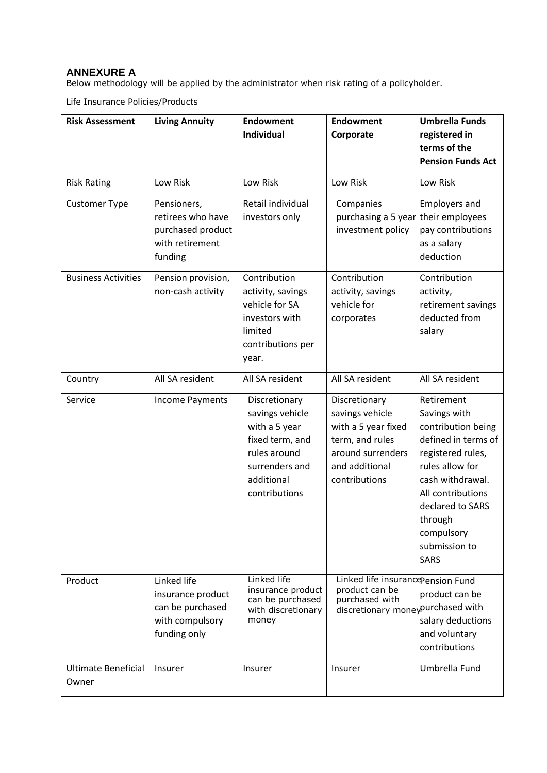# **ANNEXURE A**

Below methodology will be applied by the administrator when risk rating of a policyholder.

Life Insurance Policies/Products

| <b>Risk Assessment</b>       | <b>Living Annuity</b>                                                                   | <b>Endowment</b><br><b>Individual</b>                                                                                                 | <b>Endowment</b><br>Corporate                                                                                                      | <b>Umbrella Funds</b><br>registered in<br>terms of the<br><b>Pension Funds Act</b>                                                                                                                                                    |
|------------------------------|-----------------------------------------------------------------------------------------|---------------------------------------------------------------------------------------------------------------------------------------|------------------------------------------------------------------------------------------------------------------------------------|---------------------------------------------------------------------------------------------------------------------------------------------------------------------------------------------------------------------------------------|
| <b>Risk Rating</b>           | Low Risk                                                                                | Low Risk                                                                                                                              | Low Risk                                                                                                                           | Low Risk                                                                                                                                                                                                                              |
| <b>Customer Type</b>         | Pensioners,<br>retirees who have<br>purchased product<br>with retirement<br>funding     | Retail individual<br>investors only                                                                                                   | Companies<br>purchasing a 5 year<br>investment policy                                                                              | <b>Employers and</b><br>their employees<br>pay contributions<br>as a salary<br>deduction                                                                                                                                              |
| <b>Business Activities</b>   | Pension provision,<br>non-cash activity                                                 | Contribution<br>activity, savings<br>vehicle for SA<br>investors with<br>limited<br>contributions per<br>year.                        | Contribution<br>activity, savings<br>vehicle for<br>corporates                                                                     | Contribution<br>activity,<br>retirement savings<br>deducted from<br>salary                                                                                                                                                            |
| Country                      | All SA resident                                                                         | All SA resident                                                                                                                       | All SA resident                                                                                                                    | All SA resident                                                                                                                                                                                                                       |
| Service                      | <b>Income Payments</b>                                                                  | Discretionary<br>savings vehicle<br>with a 5 year<br>fixed term, and<br>rules around<br>surrenders and<br>additional<br>contributions | Discretionary<br>savings vehicle<br>with a 5 year fixed<br>term, and rules<br>around surrenders<br>and additional<br>contributions | Retirement<br>Savings with<br>contribution being<br>defined in terms of<br>registered rules,<br>rules allow for<br>cash withdrawal.<br>All contributions<br>declared to SARS<br>through<br>compulsory<br>submission to<br><b>SARS</b> |
| Product                      | Linked life<br>insurance product<br>can be purchased<br>with compulsory<br>funding only | Linked life<br>insurance product<br>can be purchased<br>with discretionary<br>money                                                   | Linked life insurance Pension Fund<br>product can be<br>purchased with<br>discretionary mone ypurchased with                       | product can be<br>salary deductions<br>and voluntary<br>contributions                                                                                                                                                                 |
| Ultimate Beneficial<br>Owner | Insurer                                                                                 | <b>Insurer</b>                                                                                                                        | Insurer                                                                                                                            | Umbrella Fund                                                                                                                                                                                                                         |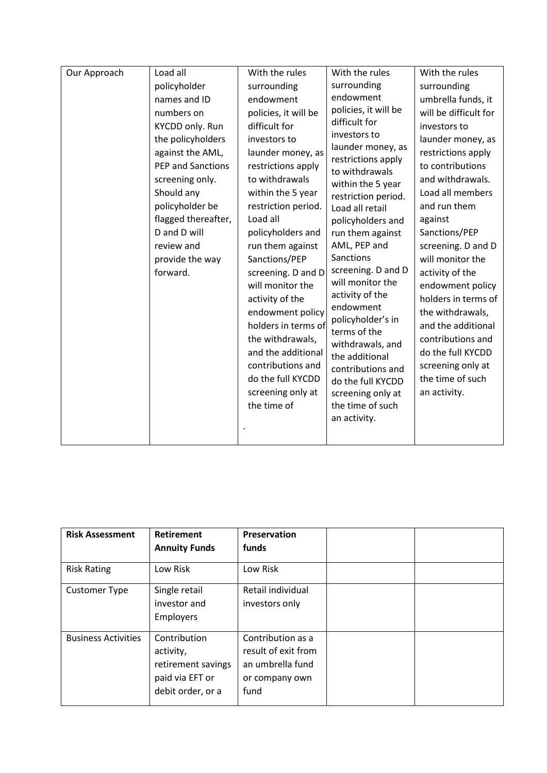| Our Approach | Load all                                                                                                                                                                               | With the rules                                                                                                                                                                                                               | With the rules                                                                                                                                                                                                                                       | With the rules                                                                                                                                                                                          |
|--------------|----------------------------------------------------------------------------------------------------------------------------------------------------------------------------------------|------------------------------------------------------------------------------------------------------------------------------------------------------------------------------------------------------------------------------|------------------------------------------------------------------------------------------------------------------------------------------------------------------------------------------------------------------------------------------------------|---------------------------------------------------------------------------------------------------------------------------------------------------------------------------------------------------------|
|              | policyholder                                                                                                                                                                           | surrounding                                                                                                                                                                                                                  | surrounding                                                                                                                                                                                                                                          | surrounding                                                                                                                                                                                             |
|              | names and ID                                                                                                                                                                           | endowment                                                                                                                                                                                                                    | endowment                                                                                                                                                                                                                                            | umbrella funds, it                                                                                                                                                                                      |
|              | numbers on                                                                                                                                                                             | policies, it will be                                                                                                                                                                                                         | policies, it will be                                                                                                                                                                                                                                 | will be difficult for                                                                                                                                                                                   |
|              | KYCDD only. Run                                                                                                                                                                        | difficult for                                                                                                                                                                                                                | difficult for                                                                                                                                                                                                                                        | investors to                                                                                                                                                                                            |
|              | the policyholders<br>against the AML,<br>PEP and Sanctions<br>screening only.<br>Should any<br>policyholder be<br>flagged thereafter,<br>D and D will<br>review and<br>provide the way | investors to<br>launder money, as<br>restrictions apply<br>to withdrawals<br>within the 5 year<br>restriction period.<br>Load all<br>policyholders and<br>run them against<br>Sanctions/PEP                                  | investors to<br>launder money, as<br>restrictions apply<br>to withdrawals<br>within the 5 year<br>restriction period.<br>Load all retail<br>policyholders and<br>run them against<br>AML, PEP and<br>Sanctions                                       | launder money, as<br>restrictions apply<br>to contributions<br>and withdrawals.<br>Load all members<br>and run them<br>against<br>Sanctions/PEP<br>screening. D and D<br>will monitor the               |
|              | forward.                                                                                                                                                                               | screening. D and D<br>will monitor the<br>activity of the<br>endowment policy<br>holders in terms of<br>the withdrawals,<br>and the additional<br>contributions and<br>do the full KYCDD<br>screening only at<br>the time of | screening. D and D<br>will monitor the<br>activity of the<br>endowment<br>policyholder's in<br>terms of the<br>withdrawals, and<br>the additional<br>contributions and<br>do the full KYCDD<br>screening only at<br>the time of such<br>an activity. | activity of the<br>endowment policy<br>holders in terms of<br>the withdrawals,<br>and the additional<br>contributions and<br>do the full KYCDD<br>screening only at<br>the time of such<br>an activity. |

| <b>Risk Assessment</b>     | <b>Retirement</b><br><b>Annuity Funds</b>                                               | Preservation<br>funds                                                                  |  |
|----------------------------|-----------------------------------------------------------------------------------------|----------------------------------------------------------------------------------------|--|
| <b>Risk Rating</b>         | Low Risk                                                                                | Low Risk                                                                               |  |
| <b>Customer Type</b>       | Single retail<br>investor and<br>Employers                                              | Retail individual<br>investors only                                                    |  |
| <b>Business Activities</b> | Contribution<br>activity,<br>retirement savings<br>paid via EFT or<br>debit order, or a | Contribution as a<br>result of exit from<br>an umbrella fund<br>or company own<br>fund |  |